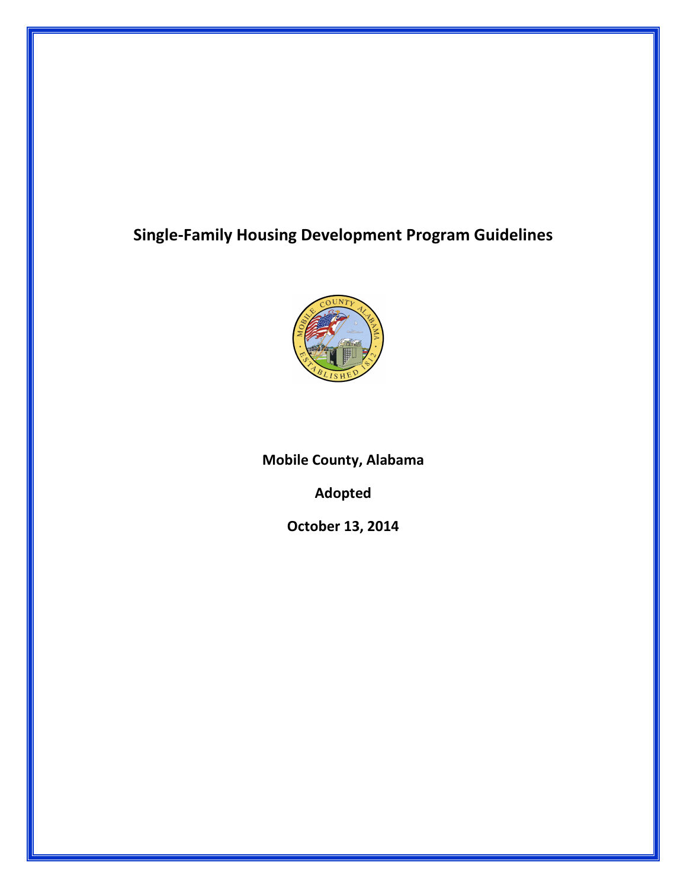# Single-Family Housing Development Program Guidelines



Mobile County, Alabama

Adopted

October 13, 2014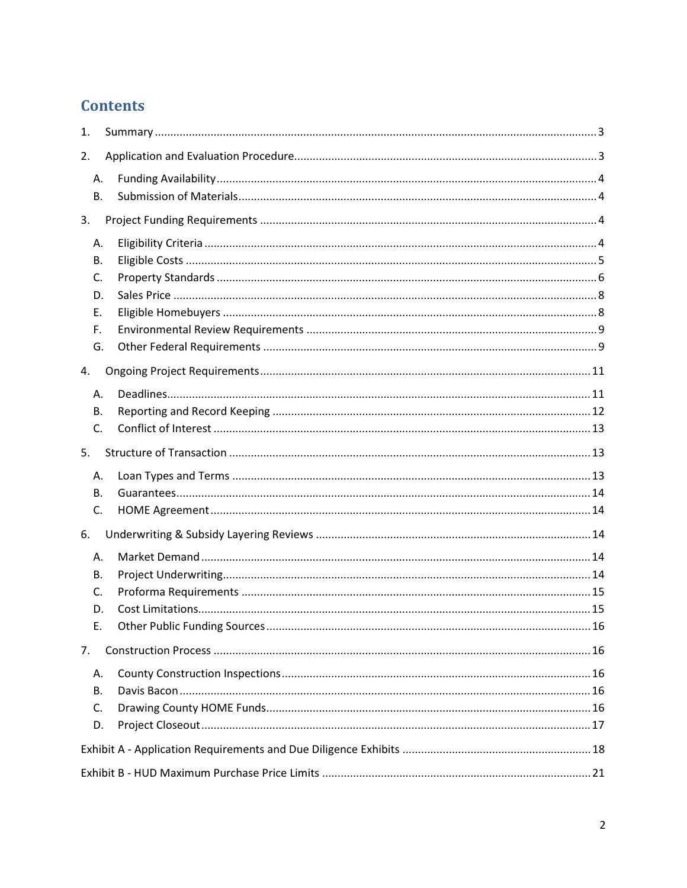# **Contents**

| 1. |  |  |
|----|--|--|
| 2. |  |  |
| Α. |  |  |
| В. |  |  |
| 3. |  |  |
| Α. |  |  |
| В. |  |  |
| C. |  |  |
| D. |  |  |
| Е. |  |  |
| F. |  |  |
| G. |  |  |
| 4. |  |  |
| Α. |  |  |
| В. |  |  |
| C. |  |  |
| 5. |  |  |
| А. |  |  |
| В. |  |  |
| C. |  |  |
| 6. |  |  |
| А. |  |  |
| В. |  |  |
| C. |  |  |
| D. |  |  |
| Е. |  |  |
| 7. |  |  |
| А. |  |  |
| В. |  |  |
| C. |  |  |
| D. |  |  |
|    |  |  |
|    |  |  |
|    |  |  |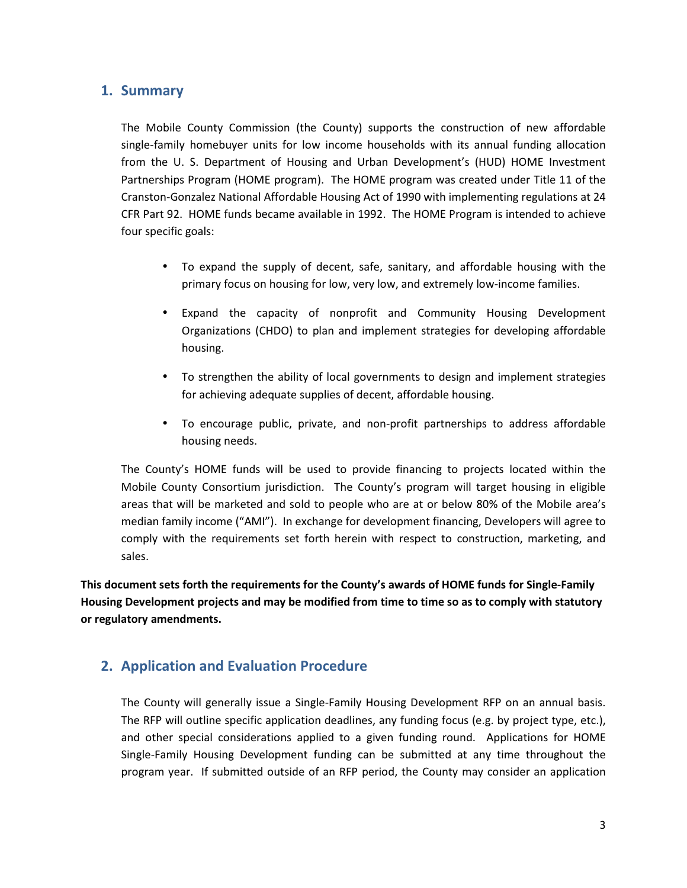## 1. Summary

The Mobile County Commission (the County) supports the construction of new affordable single-family homebuyer units for low income households with its annual funding allocation from the U. S. Department of Housing and Urban Development's (HUD) HOME Investment Partnerships Program (HOME program). The HOME program was created under Title 11 of the Cranston-Gonzalez National Affordable Housing Act of 1990 with implementing regulations at 24 CFR Part 92. HOME funds became available in 1992. The HOME Program is intended to achieve four specific goals:

- To expand the supply of decent, safe, sanitary, and affordable housing with the primary focus on housing for low, very low, and extremely low-income families.
- Expand the capacity of nonprofit and Community Housing Development Organizations (CHDO) to plan and implement strategies for developing affordable housing.
- To strengthen the ability of local governments to design and implement strategies for achieving adequate supplies of decent, affordable housing.
- To encourage public, private, and non-profit partnerships to address affordable housing needs.

The County's HOME funds will be used to provide financing to projects located within the Mobile County Consortium jurisdiction. The County's program will target housing in eligible areas that will be marketed and sold to people who are at or below 80% of the Mobile area's median family income ("AMI"). In exchange for development financing, Developers will agree to comply with the requirements set forth herein with respect to construction, marketing, and sales.

This document sets forth the requirements for the County's awards of HOME funds for Single-Family Housing Development projects and may be modified from time to time so as to comply with statutory or regulatory amendments.

# 2. Application and Evaluation Procedure

The County will generally issue a Single-Family Housing Development RFP on an annual basis. The RFP will outline specific application deadlines, any funding focus (e.g. by project type, etc.), and other special considerations applied to a given funding round. Applications for HOME Single-Family Housing Development funding can be submitted at any time throughout the program year. If submitted outside of an RFP period, the County may consider an application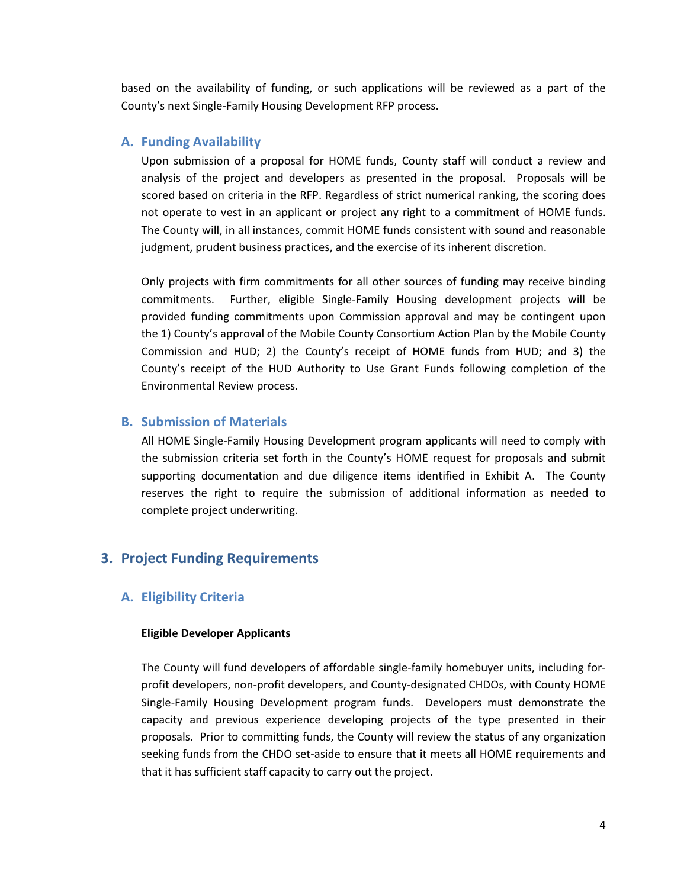based on the availability of funding, or such applications will be reviewed as a part of the County's next Single-Family Housing Development RFP process.

#### A. Funding Availability

Upon submission of a proposal for HOME funds, County staff will conduct a review and analysis of the project and developers as presented in the proposal. Proposals will be scored based on criteria in the RFP. Regardless of strict numerical ranking, the scoring does not operate to vest in an applicant or project any right to a commitment of HOME funds. The County will, in all instances, commit HOME funds consistent with sound and reasonable judgment, prudent business practices, and the exercise of its inherent discretion.

Only projects with firm commitments for all other sources of funding may receive binding commitments. Further, eligible Single-Family Housing development projects will be provided funding commitments upon Commission approval and may be contingent upon the 1) County's approval of the Mobile County Consortium Action Plan by the Mobile County Commission and HUD; 2) the County's receipt of HOME funds from HUD; and 3) the County's receipt of the HUD Authority to Use Grant Funds following completion of the Environmental Review process.

#### B. Submission of Materials

All HOME Single-Family Housing Development program applicants will need to comply with the submission criteria set forth in the County's HOME request for proposals and submit supporting documentation and due diligence items identified in Exhibit A. The County reserves the right to require the submission of additional information as needed to complete project underwriting.

### 3. Project Funding Requirements

#### A. Eligibility Criteria

#### Eligible Developer Applicants

The County will fund developers of affordable single-family homebuyer units, including forprofit developers, non-profit developers, and County-designated CHDOs, with County HOME Single-Family Housing Development program funds. Developers must demonstrate the capacity and previous experience developing projects of the type presented in their proposals. Prior to committing funds, the County will review the status of any organization seeking funds from the CHDO set-aside to ensure that it meets all HOME requirements and that it has sufficient staff capacity to carry out the project.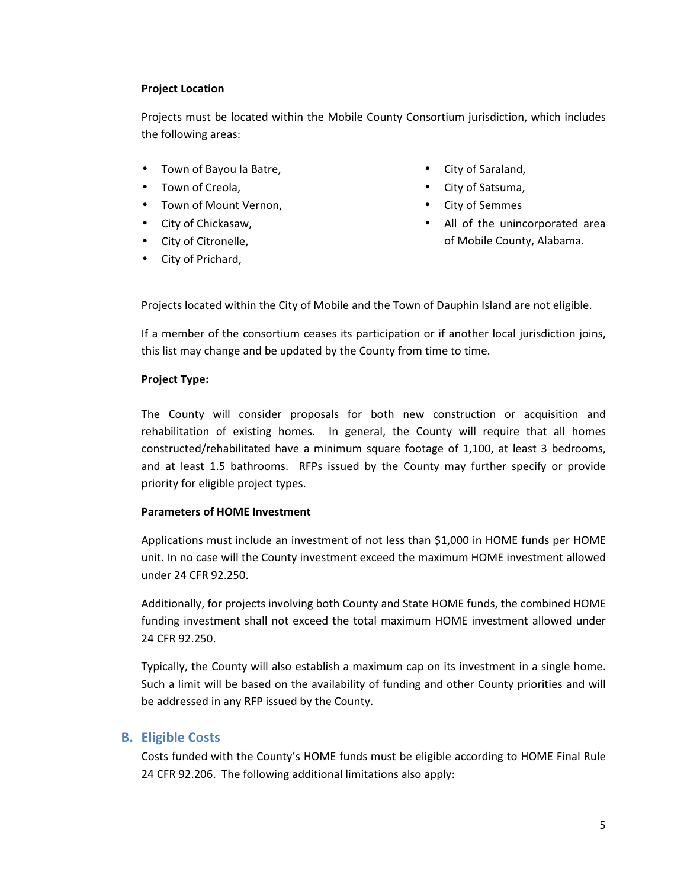#### Project Location

Projects must be located within the Mobile County Consortium jurisdiction, which includes the following areas:

- Town of Bayou la Batre,
- Town of Creola,
- Town of Mount Vernon,
- City of Chickasaw,
- City of Citronelle,
- City of Prichard,
- City of Saraland,
- City of Satsuma,
- City of Semmes
- All of the unincorporated area of Mobile County, Alabama.

Projects located within the City of Mobile and the Town of Dauphin Island are not eligible.

If a member of the consortium ceases its participation or if another local jurisdiction joins, this list may change and be updated by the County from time to time.

#### Project Type:

The County will consider proposals for both new construction or acquisition and rehabilitation of existing homes. In general, the County will require that all homes constructed/rehabilitated have a minimum square footage of 1,100, at least 3 bedrooms, and at least 1.5 bathrooms. RFPs issued by the County may further specify or provide priority for eligible project types.

### Parameters of HOME Investment

Applications must include an investment of not less than \$1,000 in HOME funds per HOME unit. In no case will the County investment exceed the maximum HOME investment allowed under 24 CFR 92.250.

Additionally, for projects involving both County and State HOME funds, the combined HOME funding investment shall not exceed the total maximum HOME investment allowed under 24 CFR 92.250.

Typically, the County will also establish a maximum cap on its investment in a single home. Such a limit will be based on the availability of funding and other County priorities and will be addressed in any RFP issued by the County.

## B. Eligible Costs

Costs funded with the County's HOME funds must be eligible according to HOME Final Rule 24 CFR 92.206. The following additional limitations also apply: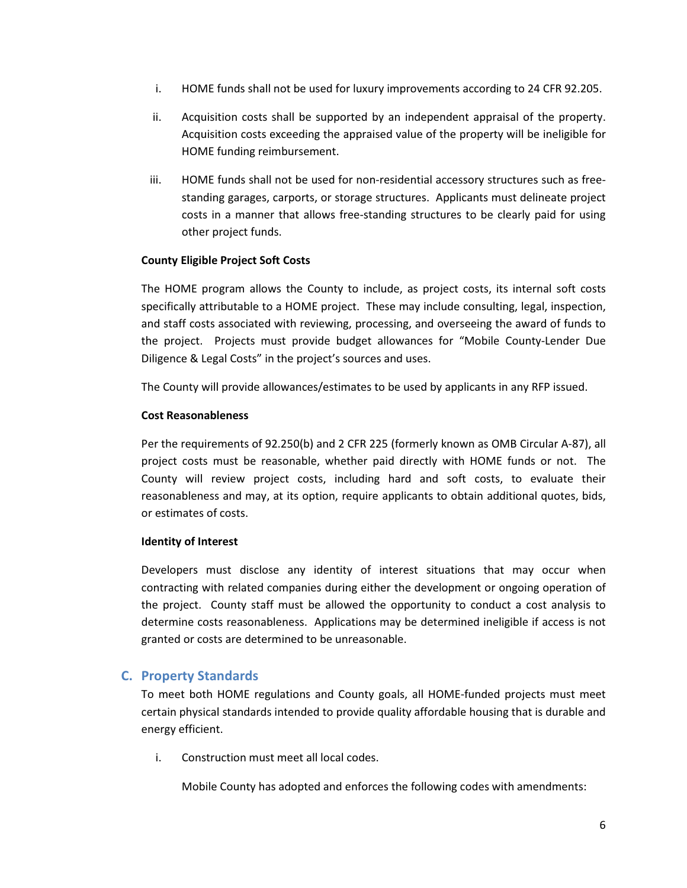- i. HOME funds shall not be used for luxury improvements according to 24 CFR 92.205.
- ii. Acquisition costs shall be supported by an independent appraisal of the property. Acquisition costs exceeding the appraised value of the property will be ineligible for HOME funding reimbursement.
- iii. HOME funds shall not be used for non-residential accessory structures such as freestanding garages, carports, or storage structures. Applicants must delineate project costs in a manner that allows free-standing structures to be clearly paid for using other project funds.

#### County Eligible Project Soft Costs

The HOME program allows the County to include, as project costs, its internal soft costs specifically attributable to a HOME project. These may include consulting, legal, inspection, and staff costs associated with reviewing, processing, and overseeing the award of funds to the project. Projects must provide budget allowances for "Mobile County-Lender Due Diligence & Legal Costs" in the project's sources and uses.

The County will provide allowances/estimates to be used by applicants in any RFP issued.

#### Cost Reasonableness

Per the requirements of 92.250(b) and 2 CFR 225 (formerly known as OMB Circular A-87), all project costs must be reasonable, whether paid directly with HOME funds or not. The County will review project costs, including hard and soft costs, to evaluate their reasonableness and may, at its option, require applicants to obtain additional quotes, bids, or estimates of costs.

#### Identity of Interest

Developers must disclose any identity of interest situations that may occur when contracting with related companies during either the development or ongoing operation of the project. County staff must be allowed the opportunity to conduct a cost analysis to determine costs reasonableness. Applications may be determined ineligible if access is not granted or costs are determined to be unreasonable.

### C. Property Standards

To meet both HOME regulations and County goals, all HOME-funded projects must meet certain physical standards intended to provide quality affordable housing that is durable and energy efficient.

i. Construction must meet all local codes.

Mobile County has adopted and enforces the following codes with amendments: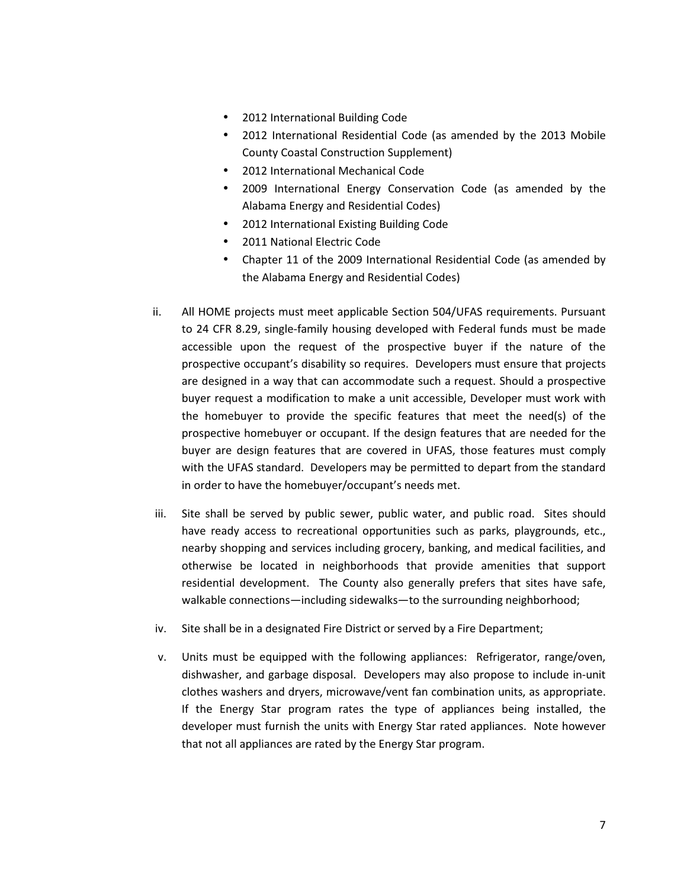- 2012 International Building Code
- 2012 International Residential Code (as amended by the 2013 Mobile County Coastal Construction Supplement)
- 2012 International Mechanical Code
- 2009 International Energy Conservation Code (as amended by the Alabama Energy and Residential Codes)
- 2012 International Existing Building Code
- 2011 National Electric Code
- Chapter 11 of the 2009 International Residential Code (as amended by the Alabama Energy and Residential Codes)
- ii. All HOME projects must meet applicable Section 504/UFAS requirements. Pursuant to 24 CFR 8.29, single-family housing developed with Federal funds must be made accessible upon the request of the prospective buyer if the nature of the prospective occupant's disability so requires. Developers must ensure that projects are designed in a way that can accommodate such a request. Should a prospective buyer request a modification to make a unit accessible, Developer must work with the homebuyer to provide the specific features that meet the need(s) of the prospective homebuyer or occupant. If the design features that are needed for the buyer are design features that are covered in UFAS, those features must comply with the UFAS standard. Developers may be permitted to depart from the standard in order to have the homebuyer/occupant's needs met.
- iii. Site shall be served by public sewer, public water, and public road. Sites should have ready access to recreational opportunities such as parks, playgrounds, etc., nearby shopping and services including grocery, banking, and medical facilities, and otherwise be located in neighborhoods that provide amenities that support residential development. The County also generally prefers that sites have safe, walkable connections—including sidewalks—to the surrounding neighborhood;
- iv. Site shall be in a designated Fire District or served by a Fire Department;
- v. Units must be equipped with the following appliances: Refrigerator, range/oven, dishwasher, and garbage disposal. Developers may also propose to include in-unit clothes washers and dryers, microwave/vent fan combination units, as appropriate. If the Energy Star program rates the type of appliances being installed, the developer must furnish the units with Energy Star rated appliances. Note however that not all appliances are rated by the Energy Star program.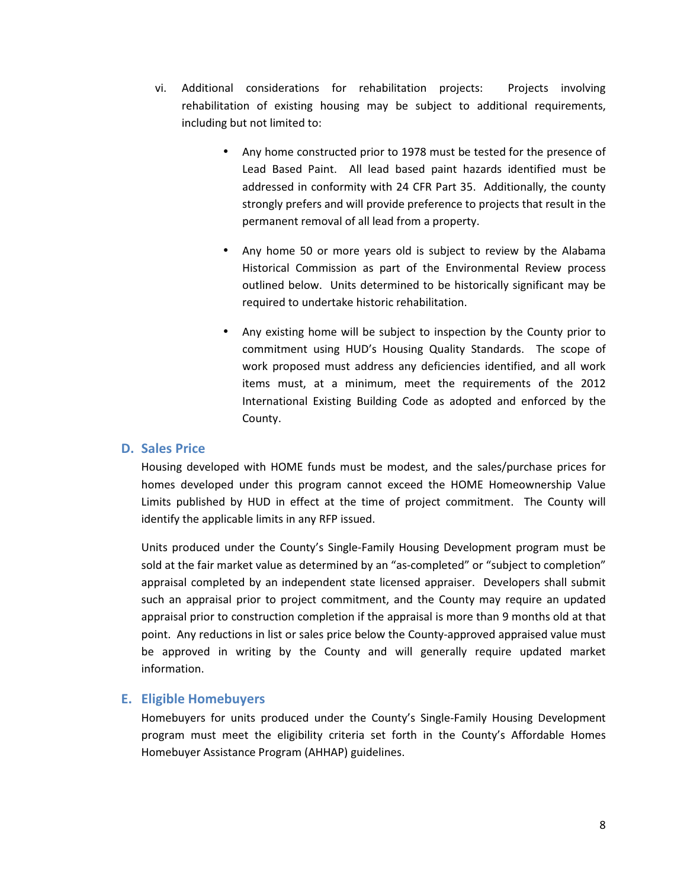- vi. Additional considerations for rehabilitation projects: Projects involving rehabilitation of existing housing may be subject to additional requirements, including but not limited to:
	- Any home constructed prior to 1978 must be tested for the presence of Lead Based Paint. All lead based paint hazards identified must be addressed in conformity with 24 CFR Part 35. Additionally, the county strongly prefers and will provide preference to projects that result in the permanent removal of all lead from a property.
	- Any home 50 or more years old is subject to review by the Alabama Historical Commission as part of the Environmental Review process outlined below. Units determined to be historically significant may be required to undertake historic rehabilitation.
	- Any existing home will be subject to inspection by the County prior to commitment using HUD's Housing Quality Standards. The scope of work proposed must address any deficiencies identified, and all work items must, at a minimum, meet the requirements of the 2012 International Existing Building Code as adopted and enforced by the County.

#### D. Sales Price

Housing developed with HOME funds must be modest, and the sales/purchase prices for homes developed under this program cannot exceed the HOME Homeownership Value Limits published by HUD in effect at the time of project commitment. The County will identify the applicable limits in any RFP issued.

Units produced under the County's Single-Family Housing Development program must be sold at the fair market value as determined by an "as-completed" or "subject to completion" appraisal completed by an independent state licensed appraiser. Developers shall submit such an appraisal prior to project commitment, and the County may require an updated appraisal prior to construction completion if the appraisal is more than 9 months old at that point. Any reductions in list or sales price below the County-approved appraised value must be approved in writing by the County and will generally require updated market information.

### E. Eligible Homebuyers

Homebuyers for units produced under the County's Single-Family Housing Development program must meet the eligibility criteria set forth in the County's Affordable Homes Homebuyer Assistance Program (AHHAP) guidelines.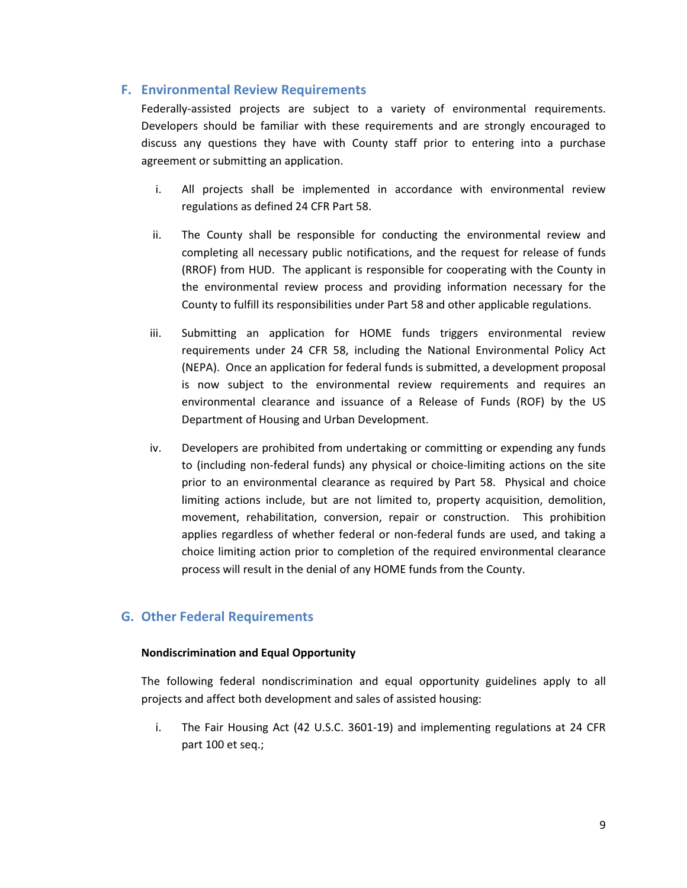#### F. Environmental Review Requirements

Federally-assisted projects are subject to a variety of environmental requirements. Developers should be familiar with these requirements and are strongly encouraged to discuss any questions they have with County staff prior to entering into a purchase agreement or submitting an application.

- i. All projects shall be implemented in accordance with environmental review regulations as defined 24 CFR Part 58.
- ii. The County shall be responsible for conducting the environmental review and completing all necessary public notifications, and the request for release of funds (RROF) from HUD. The applicant is responsible for cooperating with the County in the environmental review process and providing information necessary for the County to fulfill its responsibilities under Part 58 and other applicable regulations.
- iii. Submitting an application for HOME funds triggers environmental review requirements under 24 CFR 58, including the National Environmental Policy Act (NEPA). Once an application for federal funds is submitted, a development proposal is now subject to the environmental review requirements and requires an environmental clearance and issuance of a Release of Funds (ROF) by the US Department of Housing and Urban Development.
- iv. Developers are prohibited from undertaking or committing or expending any funds to (including non-federal funds) any physical or choice-limiting actions on the site prior to an environmental clearance as required by Part 58. Physical and choice limiting actions include, but are not limited to, property acquisition, demolition, movement, rehabilitation, conversion, repair or construction. This prohibition applies regardless of whether federal or non-federal funds are used, and taking a choice limiting action prior to completion of the required environmental clearance process will result in the denial of any HOME funds from the County.

### G. Other Federal Requirements

#### Nondiscrimination and Equal Opportunity

The following federal nondiscrimination and equal opportunity guidelines apply to all projects and affect both development and sales of assisted housing:

i. The Fair Housing Act (42 U.S.C. 3601-19) and implementing regulations at 24 CFR part 100 et seq.;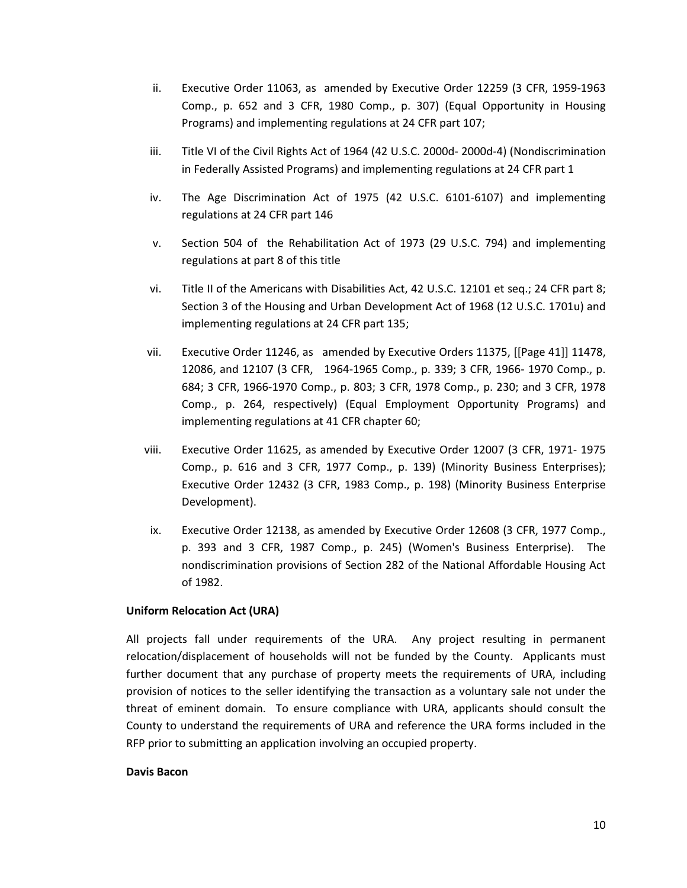- ii. Executive Order 11063, as amended by Executive Order 12259 (3 CFR, 1959-1963 Comp., p. 652 and 3 CFR, 1980 Comp., p. 307) (Equal Opportunity in Housing Programs) and implementing regulations at 24 CFR part 107;
- iii. Title VI of the Civil Rights Act of 1964 (42 U.S.C. 2000d- 2000d-4) (Nondiscrimination in Federally Assisted Programs) and implementing regulations at 24 CFR part 1
- iv. The Age Discrimination Act of 1975 (42 U.S.C. 6101-6107) and implementing regulations at 24 CFR part 146
- v. Section 504 of the Rehabilitation Act of 1973 (29 U.S.C. 794) and implementing regulations at part 8 of this title
- vi. Title II of the Americans with Disabilities Act, 42 U.S.C. 12101 et seq.; 24 CFR part 8; Section 3 of the Housing and Urban Development Act of 1968 (12 U.S.C. 1701u) and implementing regulations at 24 CFR part 135;
- vii. Executive Order 11246, as amended by Executive Orders 11375, [[Page 41]] 11478, 12086, and 12107 (3 CFR, 1964-1965 Comp., p. 339; 3 CFR, 1966- 1970 Comp., p. 684; 3 CFR, 1966-1970 Comp., p. 803; 3 CFR, 1978 Comp., p. 230; and 3 CFR, 1978 Comp., p. 264, respectively) (Equal Employment Opportunity Programs) and implementing regulations at 41 CFR chapter 60;
- viii. Executive Order 11625, as amended by Executive Order 12007 (3 CFR, 1971- 1975 Comp., p. 616 and 3 CFR, 1977 Comp., p. 139) (Minority Business Enterprises); Executive Order 12432 (3 CFR, 1983 Comp., p. 198) (Minority Business Enterprise Development).
- ix. Executive Order 12138, as amended by Executive Order 12608 (3 CFR, 1977 Comp., p. 393 and 3 CFR, 1987 Comp., p. 245) (Women's Business Enterprise). The nondiscrimination provisions of Section 282 of the National Affordable Housing Act of 1982.

#### Uniform Relocation Act (URA)

All projects fall under requirements of the URA. Any project resulting in permanent relocation/displacement of households will not be funded by the County. Applicants must further document that any purchase of property meets the requirements of URA, including provision of notices to the seller identifying the transaction as a voluntary sale not under the threat of eminent domain. To ensure compliance with URA, applicants should consult the County to understand the requirements of URA and reference the URA forms included in the RFP prior to submitting an application involving an occupied property.

#### Davis Bacon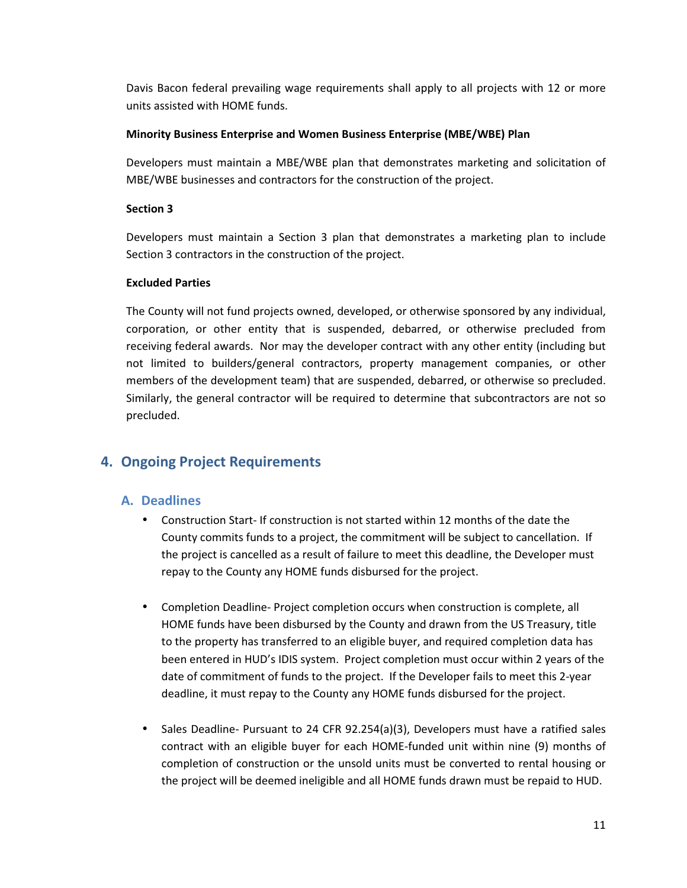Davis Bacon federal prevailing wage requirements shall apply to all projects with 12 or more units assisted with HOME funds.

#### Minority Business Enterprise and Women Business Enterprise (MBE/WBE) Plan

Developers must maintain a MBE/WBE plan that demonstrates marketing and solicitation of MBE/WBE businesses and contractors for the construction of the project.

#### Section 3

Developers must maintain a Section 3 plan that demonstrates a marketing plan to include Section 3 contractors in the construction of the project.

#### Excluded Parties

The County will not fund projects owned, developed, or otherwise sponsored by any individual, corporation, or other entity that is suspended, debarred, or otherwise precluded from receiving federal awards. Nor may the developer contract with any other entity (including but not limited to builders/general contractors, property management companies, or other members of the development team) that are suspended, debarred, or otherwise so precluded. Similarly, the general contractor will be required to determine that subcontractors are not so precluded.

# 4. Ongoing Project Requirements

### A. Deadlines

- Construction Start- If construction is not started within 12 months of the date the County commits funds to a project, the commitment will be subject to cancellation. If the project is cancelled as a result of failure to meet this deadline, the Developer must repay to the County any HOME funds disbursed for the project.
- Completion Deadline- Project completion occurs when construction is complete, all HOME funds have been disbursed by the County and drawn from the US Treasury, title to the property has transferred to an eligible buyer, and required completion data has been entered in HUD's IDIS system. Project completion must occur within 2 years of the date of commitment of funds to the project. If the Developer fails to meet this 2-year deadline, it must repay to the County any HOME funds disbursed for the project.
- Sales Deadline- Pursuant to 24 CFR 92.254(a)(3), Developers must have a ratified sales contract with an eligible buyer for each HOME-funded unit within nine (9) months of completion of construction or the unsold units must be converted to rental housing or the project will be deemed ineligible and all HOME funds drawn must be repaid to HUD.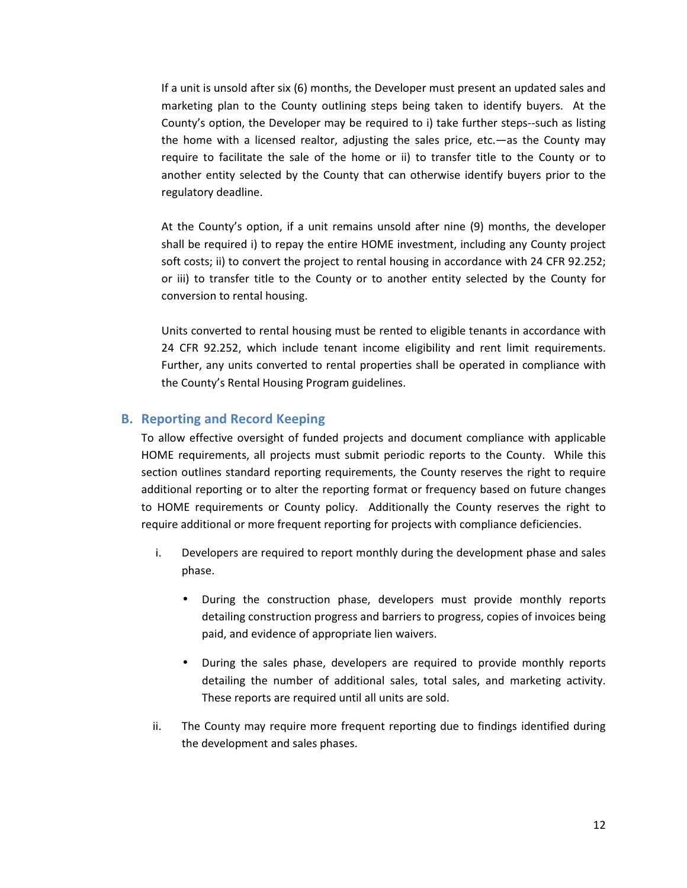If a unit is unsold after six (6) months, the Developer must present an updated sales and marketing plan to the County outlining steps being taken to identify buyers. At the County's option, the Developer may be required to i) take further steps--such as listing the home with a licensed realtor, adjusting the sales price, etc.—as the County may require to facilitate the sale of the home or ii) to transfer title to the County or to another entity selected by the County that can otherwise identify buyers prior to the regulatory deadline.

At the County's option, if a unit remains unsold after nine (9) months, the developer shall be required i) to repay the entire HOME investment, including any County project soft costs; ii) to convert the project to rental housing in accordance with 24 CFR 92.252; or iii) to transfer title to the County or to another entity selected by the County for conversion to rental housing.

Units converted to rental housing must be rented to eligible tenants in accordance with 24 CFR 92.252, which include tenant income eligibility and rent limit requirements. Further, any units converted to rental properties shall be operated in compliance with the County's Rental Housing Program guidelines.

#### B. Reporting and Record Keeping

To allow effective oversight of funded projects and document compliance with applicable HOME requirements, all projects must submit periodic reports to the County. While this section outlines standard reporting requirements, the County reserves the right to require additional reporting or to alter the reporting format or frequency based on future changes to HOME requirements or County policy. Additionally the County reserves the right to require additional or more frequent reporting for projects with compliance deficiencies.

- i. Developers are required to report monthly during the development phase and sales phase.
	- During the construction phase, developers must provide monthly reports detailing construction progress and barriers to progress, copies of invoices being paid, and evidence of appropriate lien waivers.
	- During the sales phase, developers are required to provide monthly reports detailing the number of additional sales, total sales, and marketing activity. These reports are required until all units are sold.
- ii. The County may require more frequent reporting due to findings identified during the development and sales phases.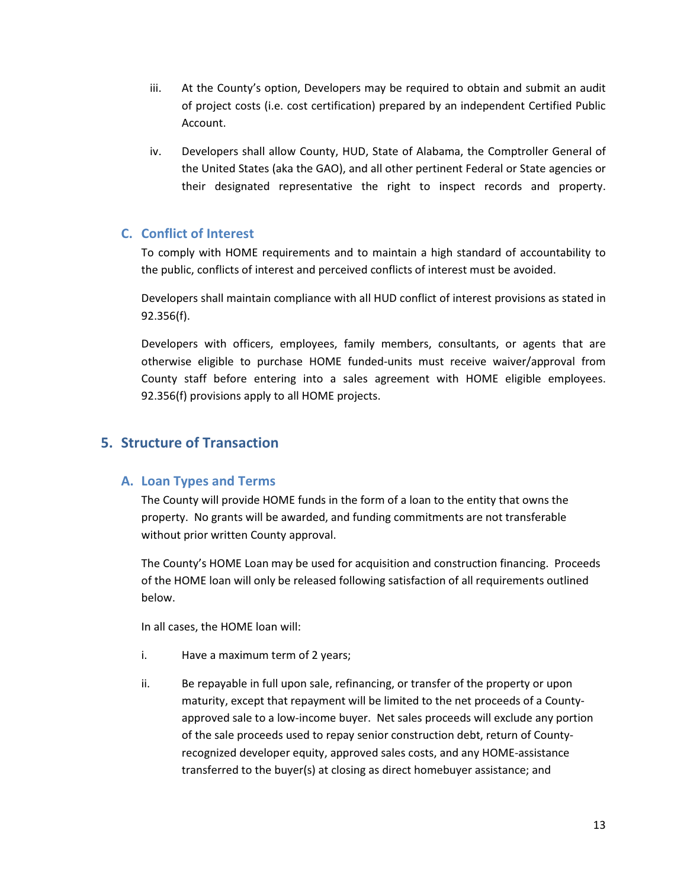- iii. At the County's option, Developers may be required to obtain and submit an audit of project costs (i.e. cost certification) prepared by an independent Certified Public Account.
- iv. Developers shall allow County, HUD, State of Alabama, the Comptroller General of the United States (aka the GAO), and all other pertinent Federal or State agencies or their designated representative the right to inspect records and property.

## C. Conflict of Interest

To comply with HOME requirements and to maintain a high standard of accountability to the public, conflicts of interest and perceived conflicts of interest must be avoided.

Developers shall maintain compliance with all HUD conflict of interest provisions as stated in 92.356(f).

Developers with officers, employees, family members, consultants, or agents that are otherwise eligible to purchase HOME funded-units must receive waiver/approval from County staff before entering into a sales agreement with HOME eligible employees. 92.356(f) provisions apply to all HOME projects.

# 5. Structure of Transaction

### A. Loan Types and Terms

The County will provide HOME funds in the form of a loan to the entity that owns the property. No grants will be awarded, and funding commitments are not transferable without prior written County approval.

The County's HOME Loan may be used for acquisition and construction financing. Proceeds of the HOME loan will only be released following satisfaction of all requirements outlined below.

In all cases, the HOME loan will:

- i. Have a maximum term of 2 years;
- ii. Be repayable in full upon sale, refinancing, or transfer of the property or upon maturity, except that repayment will be limited to the net proceeds of a Countyapproved sale to a low-income buyer. Net sales proceeds will exclude any portion of the sale proceeds used to repay senior construction debt, return of Countyrecognized developer equity, approved sales costs, and any HOME-assistance transferred to the buyer(s) at closing as direct homebuyer assistance; and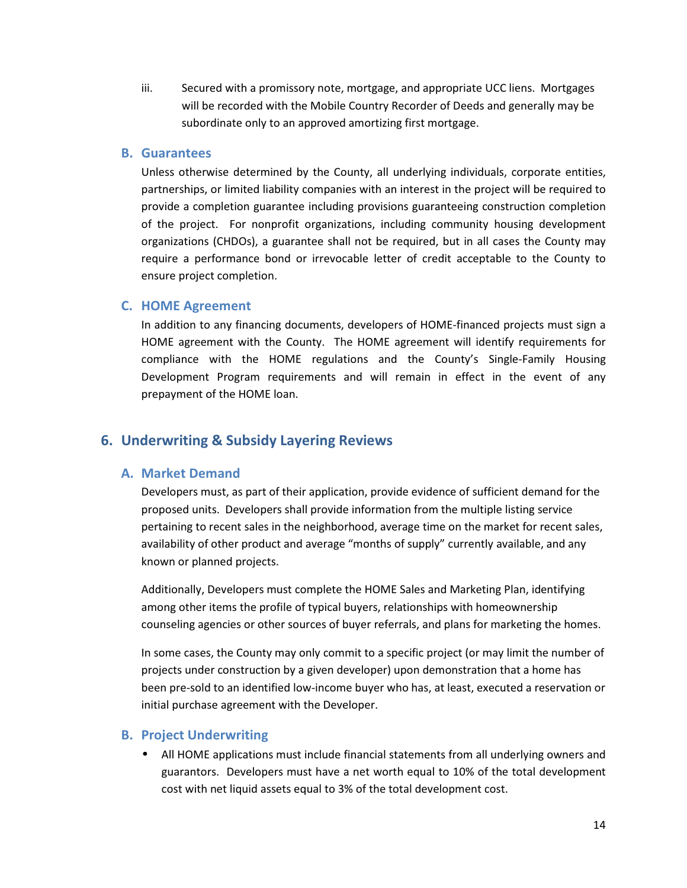iii. Secured with a promissory note, mortgage, and appropriate UCC liens. Mortgages will be recorded with the Mobile Country Recorder of Deeds and generally may be subordinate only to an approved amortizing first mortgage.

#### B. Guarantees

Unless otherwise determined by the County, all underlying individuals, corporate entities, partnerships, or limited liability companies with an interest in the project will be required to provide a completion guarantee including provisions guaranteeing construction completion of the project. For nonprofit organizations, including community housing development organizations (CHDOs), a guarantee shall not be required, but in all cases the County may require a performance bond or irrevocable letter of credit acceptable to the County to ensure project completion.

#### C. HOME Agreement

In addition to any financing documents, developers of HOME-financed projects must sign a HOME agreement with the County. The HOME agreement will identify requirements for compliance with the HOME regulations and the County's Single-Family Housing Development Program requirements and will remain in effect in the event of any prepayment of the HOME loan.

### 6. Underwriting & Subsidy Layering Reviews

#### A. Market Demand

Developers must, as part of their application, provide evidence of sufficient demand for the proposed units. Developers shall provide information from the multiple listing service pertaining to recent sales in the neighborhood, average time on the market for recent sales, availability of other product and average "months of supply" currently available, and any known or planned projects.

Additionally, Developers must complete the HOME Sales and Marketing Plan, identifying among other items the profile of typical buyers, relationships with homeownership counseling agencies or other sources of buyer referrals, and plans for marketing the homes.

In some cases, the County may only commit to a specific project (or may limit the number of projects under construction by a given developer) upon demonstration that a home has been pre-sold to an identified low-income buyer who has, at least, executed a reservation or initial purchase agreement with the Developer.

#### B. Project Underwriting

• All HOME applications must include financial statements from all underlying owners and guarantors. Developers must have a net worth equal to 10% of the total development cost with net liquid assets equal to 3% of the total development cost.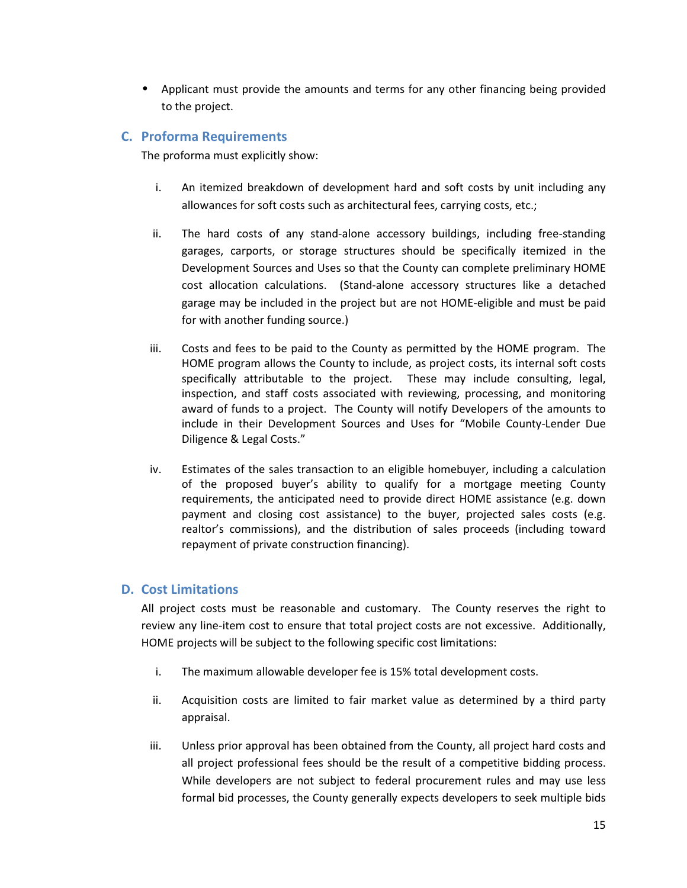• Applicant must provide the amounts and terms for any other financing being provided to the project.

## C. Proforma Requirements

The proforma must explicitly show:

- i. An itemized breakdown of development hard and soft costs by unit including any allowances for soft costs such as architectural fees, carrying costs, etc.;
- ii. The hard costs of any stand-alone accessory buildings, including free-standing garages, carports, or storage structures should be specifically itemized in the Development Sources and Uses so that the County can complete preliminary HOME cost allocation calculations. (Stand-alone accessory structures like a detached garage may be included in the project but are not HOME-eligible and must be paid for with another funding source.)
- iii. Costs and fees to be paid to the County as permitted by the HOME program. The HOME program allows the County to include, as project costs, its internal soft costs specifically attributable to the project. These may include consulting, legal, inspection, and staff costs associated with reviewing, processing, and monitoring award of funds to a project. The County will notify Developers of the amounts to include in their Development Sources and Uses for "Mobile County-Lender Due Diligence & Legal Costs."
- iv. Estimates of the sales transaction to an eligible homebuyer, including a calculation of the proposed buyer's ability to qualify for a mortgage meeting County requirements, the anticipated need to provide direct HOME assistance (e.g. down payment and closing cost assistance) to the buyer, projected sales costs (e.g. realtor's commissions), and the distribution of sales proceeds (including toward repayment of private construction financing).

### D. Cost Limitations

All project costs must be reasonable and customary. The County reserves the right to review any line-item cost to ensure that total project costs are not excessive. Additionally, HOME projects will be subject to the following specific cost limitations:

- i. The maximum allowable developer fee is 15% total development costs.
- ii. Acquisition costs are limited to fair market value as determined by a third party appraisal.
- iii. Unless prior approval has been obtained from the County, all project hard costs and all project professional fees should be the result of a competitive bidding process. While developers are not subject to federal procurement rules and may use less formal bid processes, the County generally expects developers to seek multiple bids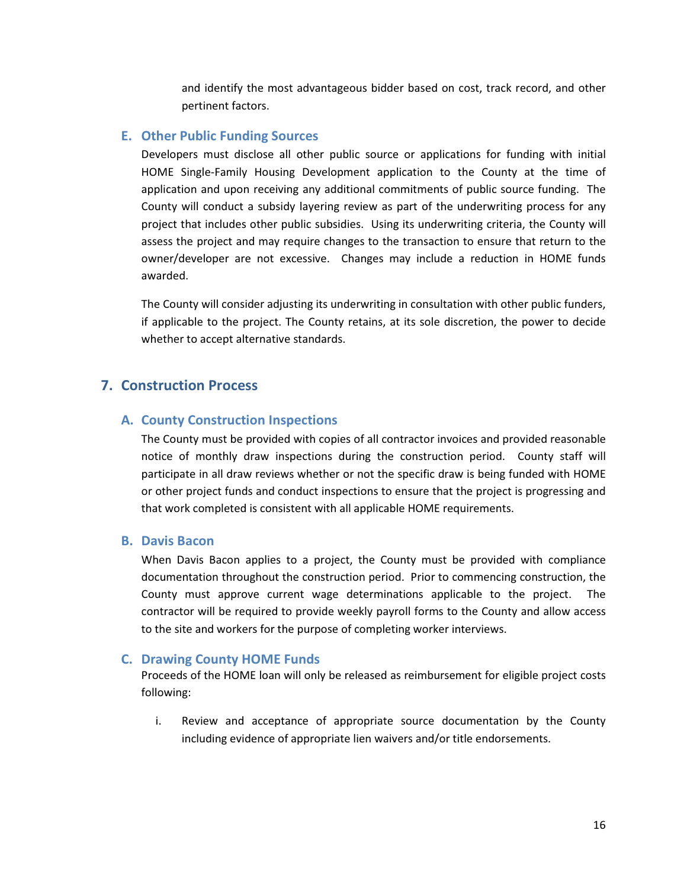and identify the most advantageous bidder based on cost, track record, and other pertinent factors.

#### E. Other Public Funding Sources

Developers must disclose all other public source or applications for funding with initial HOME Single-Family Housing Development application to the County at the time of application and upon receiving any additional commitments of public source funding. The County will conduct a subsidy layering review as part of the underwriting process for any project that includes other public subsidies. Using its underwriting criteria, the County will assess the project and may require changes to the transaction to ensure that return to the owner/developer are not excessive. Changes may include a reduction in HOME funds awarded.

The County will consider adjusting its underwriting in consultation with other public funders, if applicable to the project. The County retains, at its sole discretion, the power to decide whether to accept alternative standards.

## 7. Construction Process

#### A. County Construction Inspections

The County must be provided with copies of all contractor invoices and provided reasonable notice of monthly draw inspections during the construction period. County staff will participate in all draw reviews whether or not the specific draw is being funded with HOME or other project funds and conduct inspections to ensure that the project is progressing and that work completed is consistent with all applicable HOME requirements.

#### B. Davis Bacon

When Davis Bacon applies to a project, the County must be provided with compliance documentation throughout the construction period. Prior to commencing construction, the County must approve current wage determinations applicable to the project. The contractor will be required to provide weekly payroll forms to the County and allow access to the site and workers for the purpose of completing worker interviews.

#### C. Drawing County HOME Funds

Proceeds of the HOME loan will only be released as reimbursement for eligible project costs following:

i. Review and acceptance of appropriate source documentation by the County including evidence of appropriate lien waivers and/or title endorsements.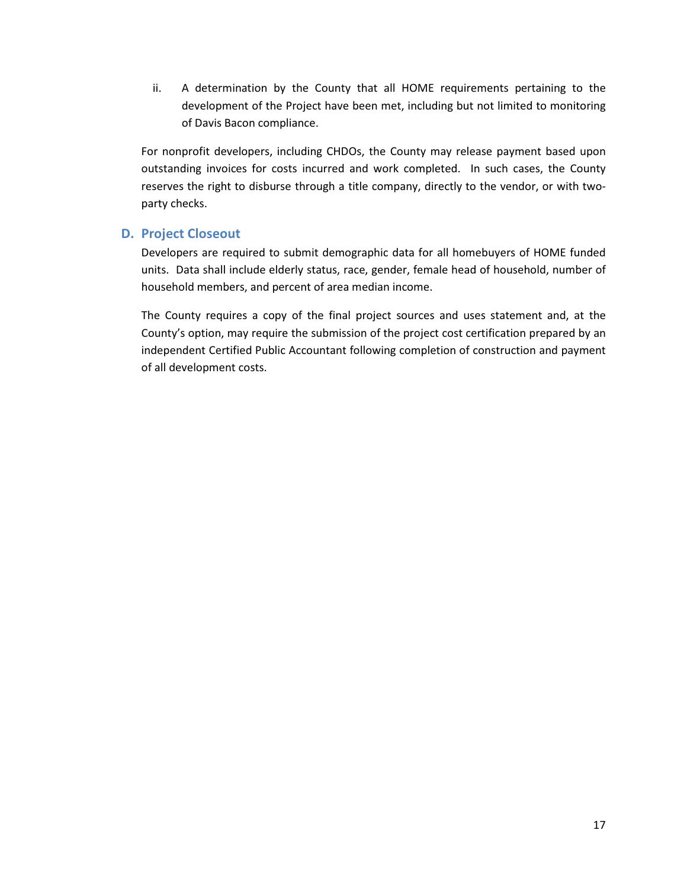ii. A determination by the County that all HOME requirements pertaining to the development of the Project have been met, including but not limited to monitoring of Davis Bacon compliance.

For nonprofit developers, including CHDOs, the County may release payment based upon outstanding invoices for costs incurred and work completed. In such cases, the County reserves the right to disburse through a title company, directly to the vendor, or with twoparty checks.

## D. Project Closeout

Developers are required to submit demographic data for all homebuyers of HOME funded units. Data shall include elderly status, race, gender, female head of household, number of household members, and percent of area median income.

The County requires a copy of the final project sources and uses statement and, at the County's option, may require the submission of the project cost certification prepared by an independent Certified Public Accountant following completion of construction and payment of all development costs.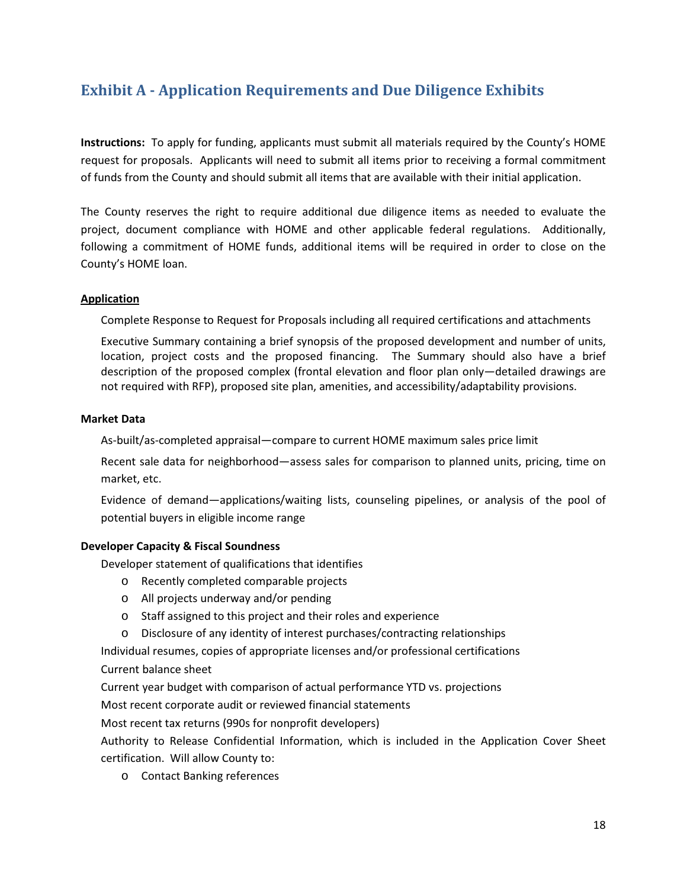# Exhibit A - Application Requirements and Due Diligence Exhibits

Instructions: To apply for funding, applicants must submit all materials required by the County's HOME request for proposals. Applicants will need to submit all items prior to receiving a formal commitment of funds from the County and should submit all items that are available with their initial application.

The County reserves the right to require additional due diligence items as needed to evaluate the project, document compliance with HOME and other applicable federal regulations. Additionally, following a commitment of HOME funds, additional items will be required in order to close on the County's HOME loan.

#### Application

Complete Response to Request for Proposals including all required certifications and attachments

 Executive Summary containing a brief synopsis of the proposed development and number of units, location, project costs and the proposed financing. The Summary should also have a brief description of the proposed complex (frontal elevation and floor plan only—detailed drawings are not required with RFP), proposed site plan, amenities, and accessibility/adaptability provisions.

#### Market Data

As-built/as-completed appraisal—compare to current HOME maximum sales price limit

 Recent sale data for neighborhood—assess sales for comparison to planned units, pricing, time on market, etc.

 Evidence of demand—applications/waiting lists, counseling pipelines, or analysis of the pool of potential buyers in eligible income range

### Developer Capacity & Fiscal Soundness

Developer statement of qualifications that identifies

- o Recently completed comparable projects
- o All projects underway and/or pending
- o Staff assigned to this project and their roles and experience
- o Disclosure of any identity of interest purchases/contracting relationships

Individual resumes, copies of appropriate licenses and/or professional certifications Current balance sheet

Current year budget with comparison of actual performance YTD vs. projections

Most recent corporate audit or reviewed financial statements

Most recent tax returns (990s for nonprofit developers)

Authority to Release Confidential Information, which is included in the Application Cover Sheet certification. Will allow County to:

o Contact Banking references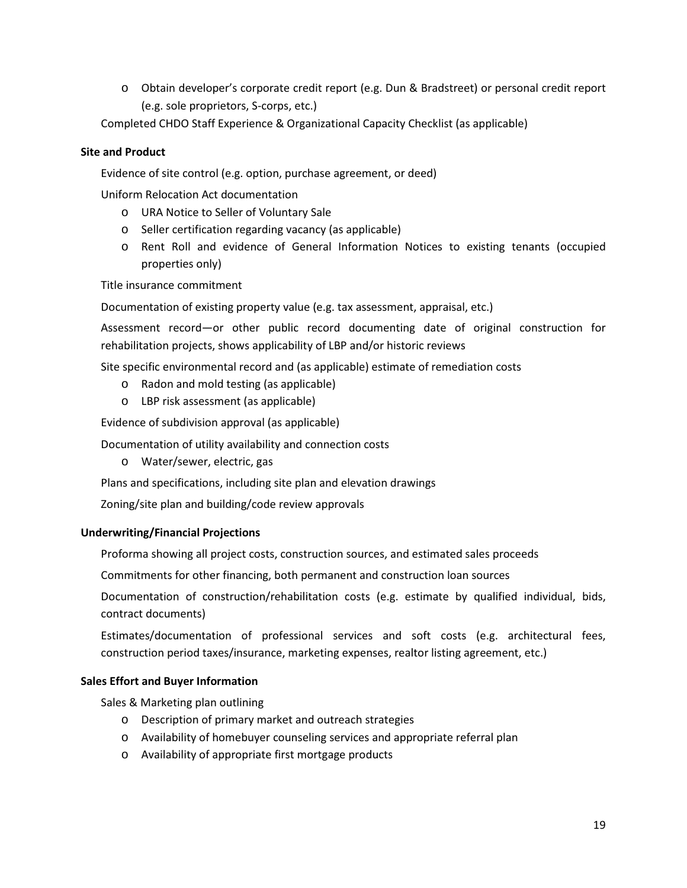o Obtain developer's corporate credit report (e.g. Dun & Bradstreet) or personal credit report (e.g. sole proprietors, S-corps, etc.)

Completed CHDO Staff Experience & Organizational Capacity Checklist (as applicable)

#### Site and Product

Evidence of site control (e.g. option, purchase agreement, or deed)

Uniform Relocation Act documentation

- o URA Notice to Seller of Voluntary Sale
- o Seller certification regarding vacancy (as applicable)
- o Rent Roll and evidence of General Information Notices to existing tenants (occupied properties only)

Title insurance commitment

Documentation of existing property value (e.g. tax assessment, appraisal, etc.)

 Assessment record—or other public record documenting date of original construction for rehabilitation projects, shows applicability of LBP and/or historic reviews

Site specific environmental record and (as applicable) estimate of remediation costs

- o Radon and mold testing (as applicable)
- o LBP risk assessment (as applicable)

Evidence of subdivision approval (as applicable)

Documentation of utility availability and connection costs

o Water/sewer, electric, gas

Plans and specifications, including site plan and elevation drawings

Zoning/site plan and building/code review approvals

#### Underwriting/Financial Projections

Proforma showing all project costs, construction sources, and estimated sales proceeds

Commitments for other financing, both permanent and construction loan sources

 Documentation of construction/rehabilitation costs (e.g. estimate by qualified individual, bids, contract documents)

 Estimates/documentation of professional services and soft costs (e.g. architectural fees, construction period taxes/insurance, marketing expenses, realtor listing agreement, etc.)

#### Sales Effort and Buyer Information

Sales & Marketing plan outlining

- o Description of primary market and outreach strategies
- o Availability of homebuyer counseling services and appropriate referral plan
- o Availability of appropriate first mortgage products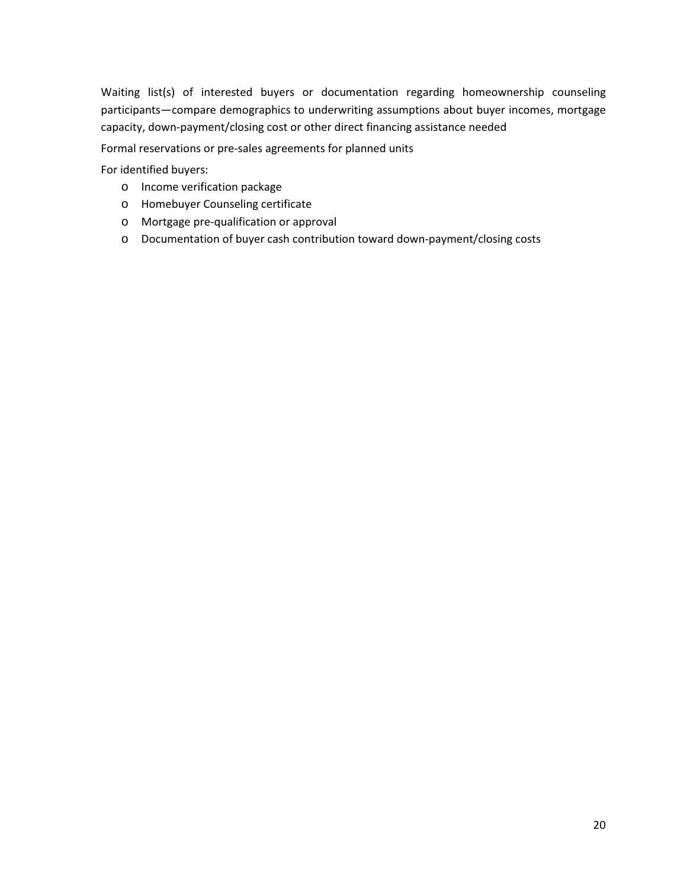Waiting list(s) of interested buyers or documentation regarding homeownership counseling participants—compare demographics to underwriting assumptions about buyer incomes, mortgage capacity, down-payment/closing cost or other direct financing assistance needed

Formal reservations or pre-sales agreements for planned units

For identified buyers:

- o Income verification package
- o Homebuyer Counseling certificate
- o Mortgage pre-qualification or approval
- o Documentation of buyer cash contribution toward down-payment/closing costs